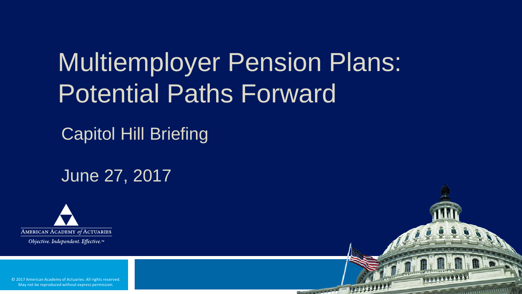## Multiemployer Pension Plans: Potential Paths Forward

**CONTRACTOR** 

Capitol Hill Briefing

June 27, 2017



Objective. Independent. Effective.™

© 2017 American Academy of Actuaries. All rights reserved. May not be reproduced without express permission.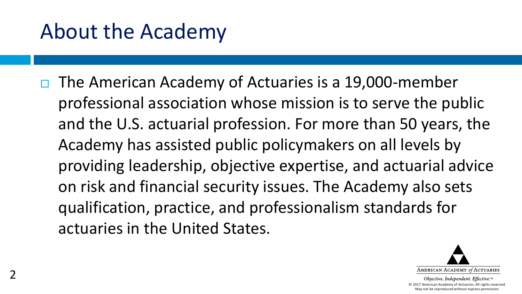## About the Academy

 $\Box$  The American Academy of Actuaries is a 19,000-member professional association whose mission is to serve the public and the U.S. actuarial profession. For more than 50 years, the Academy has assisted public policymakers on all levels by providing leadership, objective expertise, and actuarial advice on risk and financial security issues. The Academy also sets qualification, practice, and professionalism standards for actuaries in the United States.

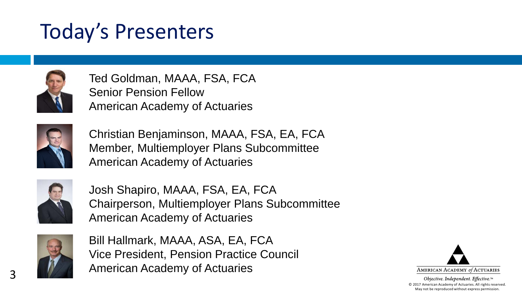## Today's Presenters



Ted Goldman, MAAA, FSA, FCA Senior Pension Fellow American Academy of Actuaries



Christian Benjaminson, MAAA, FSA, EA, FCA Member, Multiemployer Plans Subcommittee American Academy of Actuaries



Josh Shapiro, MAAA, FSA, EA, FCA Chairperson, Multiemployer Plans Subcommittee American Academy of Actuaries



Bill Hallmark, MAAA, ASA, EA, FCA Vice President, Pension Practice Council American Academy of Actuaries

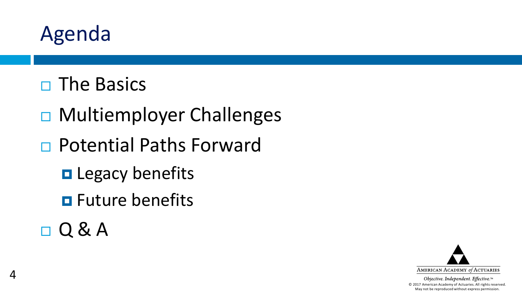

- $\Box$  The Basics
- □ Multiemployer Challenges
- Potential Paths Forward
	- **Q** Legacy benefits
	- **O** Future benefits
- $\Box$

4

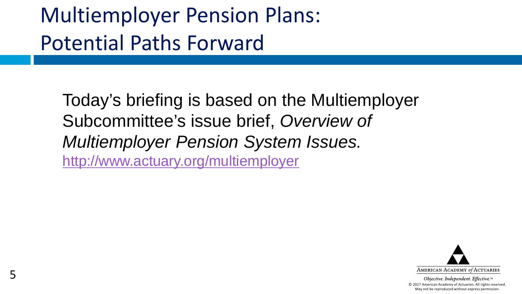## Multiemployer Pension Plans: Potential Paths Forward

Today's briefing is based on the Multiemployer Subcommittee's issue brief, *Overview of Multiemployer Pension System Issues.* <http://www.actuary.org/multiemployer>

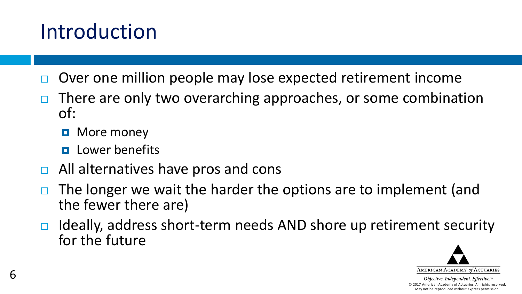## Introduction

- Over one million people may lose expected retirement income
- $\Box$  There are only two overarching approaches, or some combination of:
	- **D** More money
	- $\Box$  Lower benefits
- $\Box$  All alternatives have pros and cons
- The longer we wait the harder the options are to implement (and the fewer there are)
- $\Box$  Ideally, address short-term needs AND shore up retirement security for the future

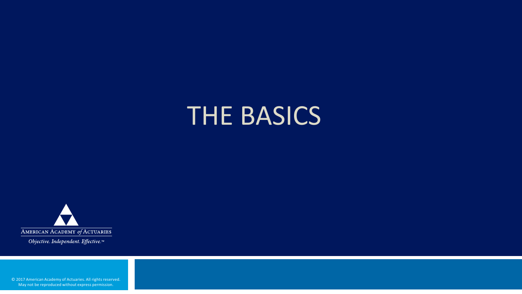## THE BASICS



Objective. Independent. Effective.™

© 2017 American Academy of Actuaries. All rights reserved. May not be reproduced without express permission.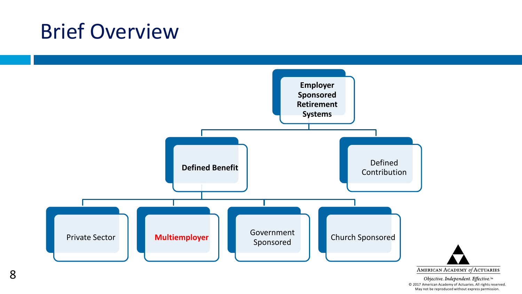### Brief Overview

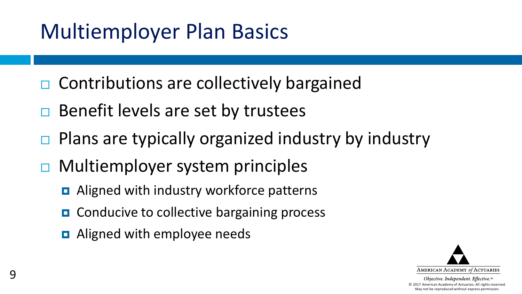## Multiemployer Plan Basics

- $\Box$  Contributions are collectively bargained
- $\Box$  Benefit levels are set by trustees
- $\Box$  Plans are typically organized industry by industry
- □ Multiemployer system principles
	- **□** Aligned with industry workforce patterns
	- **□** Conducive to collective bargaining process
	- **D** Aligned with employee needs

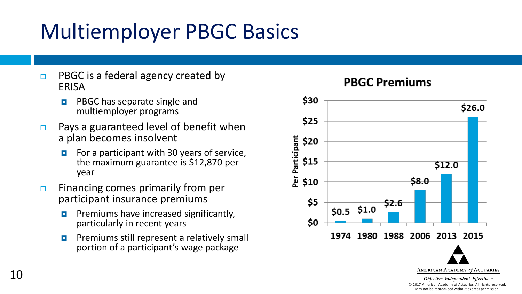## Multiemployer PBGC Basics

- $\Box$  PBGC is a federal agency created by ERISA
	- **PBGC has separate single and** multiemployer programs
- $\Box$  Pays a guaranteed level of benefit when a plan becomes insolvent
	- $\blacksquare$  For a participant with 30 years of service, the maximum guarantee is \$12,870 per year
- $\Box$  Financing comes primarily from per participant insurance premiums
	- Premiums have increased significantly, particularly in recent years
	- **Premiums still represent a relatively small** portion of a participant's wage package



Objective. Independent. Effective.™ © 2017 American Academy of Actuaries. All rights reserved. May not be reproduced without express permission.

#### **PBGC Premiums**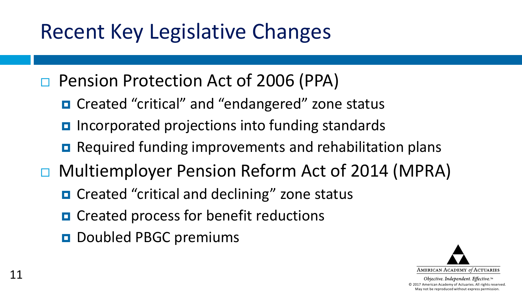## Recent Key Legislative Changes

- □ Pension Protection Act of 2006 (PPA)
	- Created "critical" and "endangered" zone status
	- Incorporated projections into funding standards
	- Required funding improvements and rehabilitation plans
- □ Multiemployer Pension Reform Act of 2014 (MPRA)
	- Created "critical and declining" zone status
	- **D** Created process for benefit reductions
	- D Doubled PBGC premiums

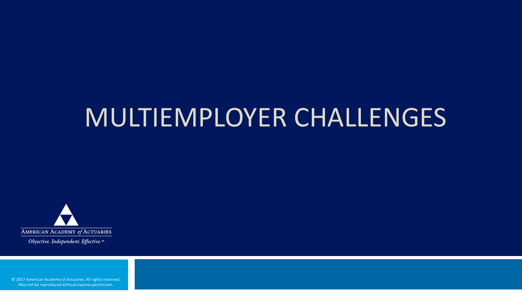## MULTIEMPLOYER CHALLENGES



Objective. Independent. Effective.™

© 2017 American Academy of Actuaries. All rights reserved. May not be reproduced without express permission.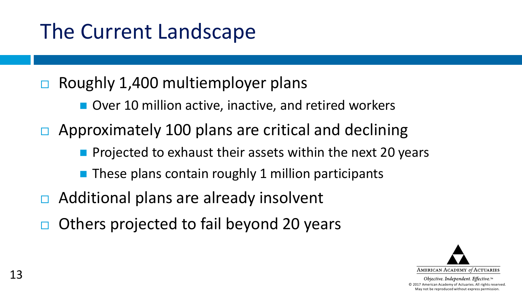- $\Box$  Roughly 1,400 multiemployer plans
	- Over 10 million active, inactive, and retired workers
- Approximately 100 plans are critical and declining
	- **Projected to exhaust their assets within the next 20 years**
	- **These plans contain roughly 1 million participants**
- Additional plans are already insolvent
- Others projected to fail beyond 20 years

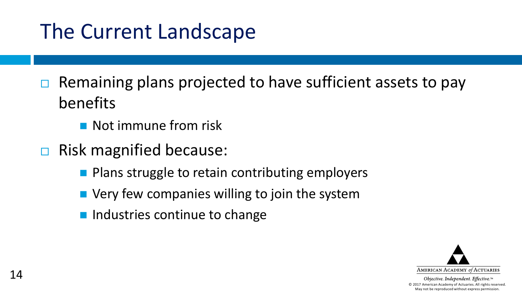- $\Box$  Remaining plans projected to have sufficient assets to pay benefits
	- **Not immune from risk**
- $\Box$  Risk magnified because:
	- $\blacksquare$  Plans struggle to retain contributing employers
	- Very few companies willing to join the system
	- $\blacksquare$  Industries continue to change

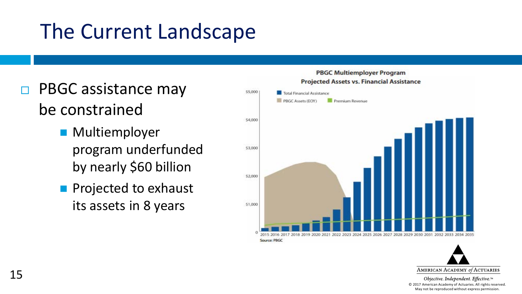- □ PBGC assistance may be constrained
	- **Multiemployer** program underfunded by nearly \$60 billion
	- **Projected to exhaust** its assets in 8 years



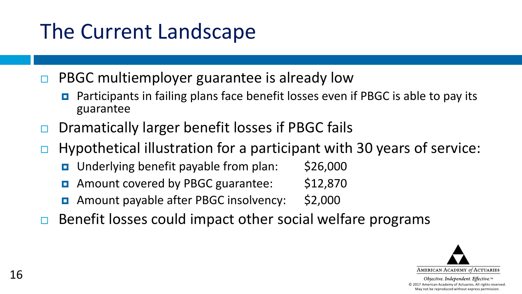$\Box$  PBGC multiemployer guarantee is already low

- Participants in failing plans face benefit losses even if PBGC is able to pay its guarantee
- $\Box$  Dramatically larger benefit losses if PBGC fails
- $\Box$  Hypothetical illustration for a participant with 30 years of service:
	- Underlying benefit payable from plan: \$26,000
	- Amount covered by PBGC guarantee: \$12,870
	- Amount payable after PBGC insolvency: \$2,000
- $\Box$  Benefit losses could impact other social welfare programs

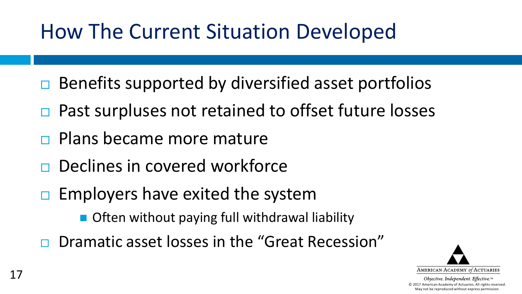## How The Current Situation Developed

- $\Box$  Benefits supported by diversified asset portfolios
- □ Past surpluses not retained to offset future losses
- Plans became more mature
- $\Box$  Declines in covered workforce
- $\Box$  Employers have exited the system
	- Often without paying full withdrawal liability
- Dramatic asset losses in the "Great Recession"

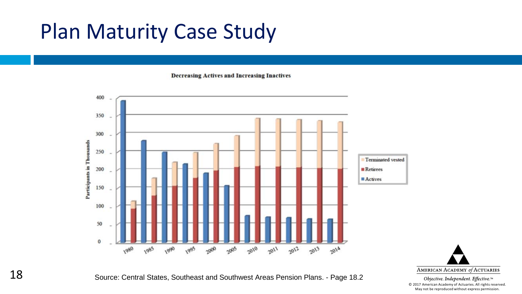### Plan Maturity Case Study

**Decreasing Actives and Increasing Inactives** 





Objective. Independent. Effective.™ © 2017 American Academy of Actuaries. All rights reserved. May not be reproduced without express permission.

Source: Central States, Southeast and Southwest Areas Pension Plans. - Page 18.2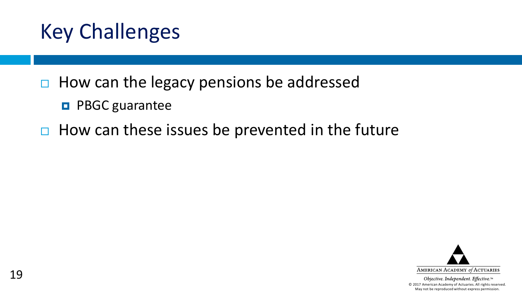

- $\Box$  How can the legacy pensions be addressed
	- **D** PBGC guarantee
- $\Box$  How can these issues be prevented in the future

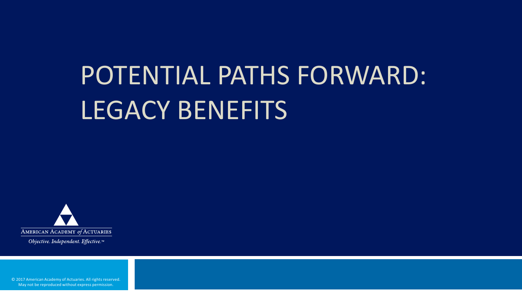# POTENTIAL PATHS FORWARD: LEGACY BENEFITS



Objective. Independent. Effective.™

© 2017 American Academy of Actuaries. All rights reserved. May not be reproduced without express permission.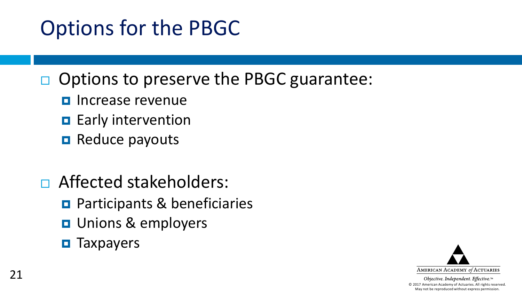## Options for the PBGC

- $\Box$  Options to preserve the PBGC guarantee:
	- **<u>Electrical</u>** Increase revenue
	- **Early intervention**
	- **Reduce payouts**
- □ Affected stakeholders:
	- **Participants & beneficiaries**
	- **D** Unions & employers
	- $\blacksquare$  Taxpayers

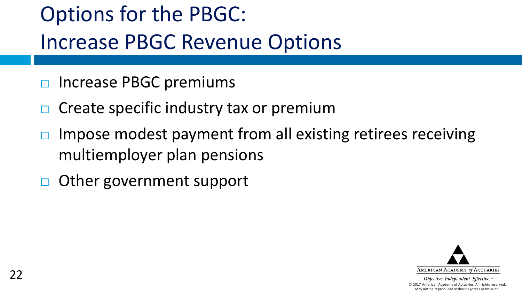## Options for the PBGC: Increase PBGC Revenue Options

- Increase PBGC premiums
- Create specific industry tax or premium
- Impose modest payment from all existing retirees receiving multiemployer plan pensions
- □ Other government support

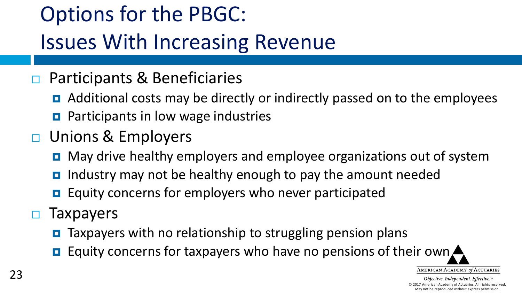## Options for the PBGC: Issues With Increasing Revenue

#### □ Participants & Beneficiaries

- Additional costs may be directly or indirectly passed on to the employees
- **Participants in low wage industries**
- □ Unions & Employers
	- **D** May drive healthy employers and employee organizations out of system
	- $\blacksquare$  Industry may not be healthy enough to pay the amount needed
	- $\Box$  Equity concerns for employers who never participated
- $\Box$  Taxpayers
	- **O** Taxpayers with no relationship to struggling pension plans
	- **Equity concerns for taxpayers who have no pensions of their own**

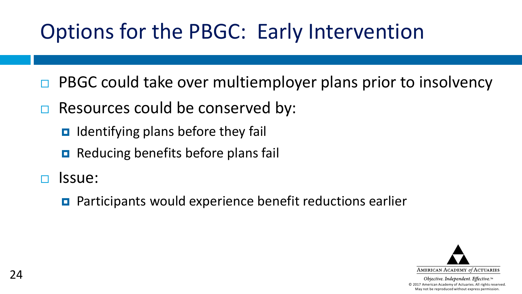## Options for the PBGC: Early Intervention

- PBGC could take over multiemployer plans prior to insolvency
- $\Box$  Resources could be conserved by:
	- $\Box$  Identifying plans before they fail
	- **Reducing benefits before plans fail**
- Issue:
	- Participants would experience benefit reductions earlier

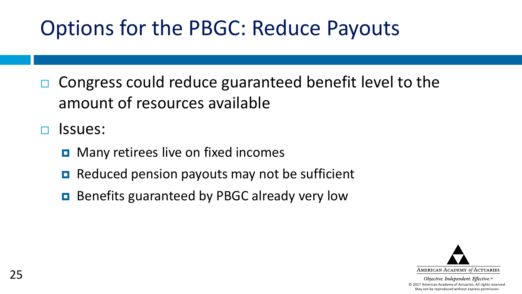## Options for the PBGC: Reduce Payouts

□ Congress could reduce guaranteed benefit level to the amount of resources available

Issues:

- **D** Many retirees live on fixed incomes
- $\Box$  Reduced pension payouts may not be sufficient
- **Benefits guaranteed by PBGC already very low**

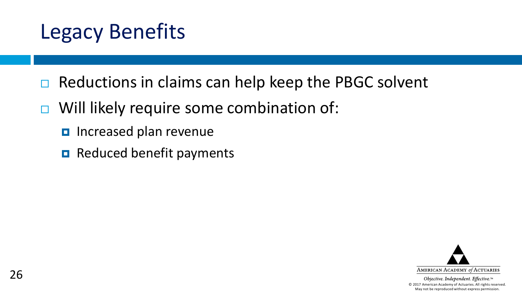## Legacy Benefits

- $\Box$  Reductions in claims can help keep the PBGC solvent
- $\Box$  Will likely require some combination of:
	- **D** Increased plan revenue
	- $\blacksquare$  Reduced benefit payments

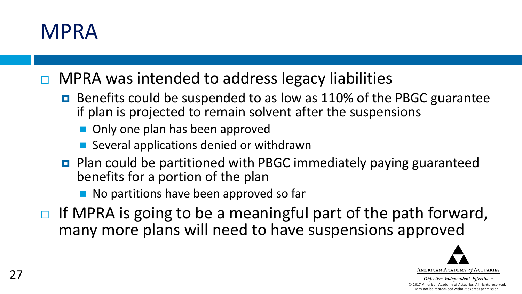#### MPRA

MPRA was intended to address legacy liabilities

- Benefits could be suspended to as low as 110% of the PBGC guarantee if plan is projected to remain solvent after the suspensions
	- Only one plan has been approved
	- Several applications denied or withdrawn
- Plan could be partitioned with PBGC immediately paying guaranteed benefits for a portion of the plan
	- No partitions have been approved so far
- $\Box$  If MPRA is going to be a meaningful part of the path forward, many more plans will need to have suspensions approved

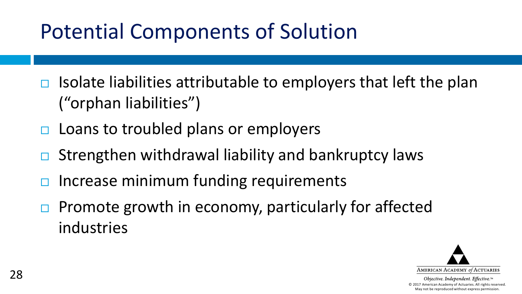## Potential Components of Solution

- Isolate liabilities attributable to employers that left the plan ("orphan liabilities")
- $\Box$  Loans to troubled plans or employers
- Strengthen withdrawal liability and bankruptcy laws
- Increase minimum funding requirements
- $\Box$  Promote growth in economy, particularly for affected industries

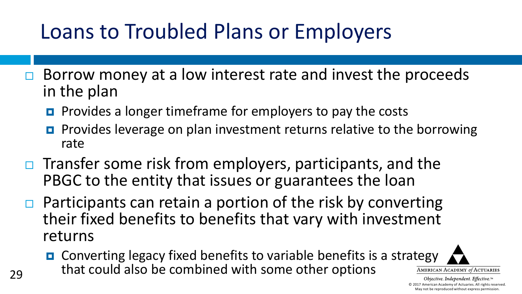## Loans to Troubled Plans or Employers

- $\Box$  Borrow money at a low interest rate and invest the proceeds in the plan
	- **Provides a longer timeframe for employers to pay the costs**
	- **Provides leverage on plan investment returns relative to the borrowing** rate
- $\Box$  Transfer some risk from employers, participants, and the PBGC to the entity that issues or guarantees the loan
- $\Box$  Participants can retain a portion of the risk by converting their fixed benefits to benefits that vary with investment returns
	- **O** Converting legacy fixed benefits to variable benefits is a strategy that could also be combined with some other options

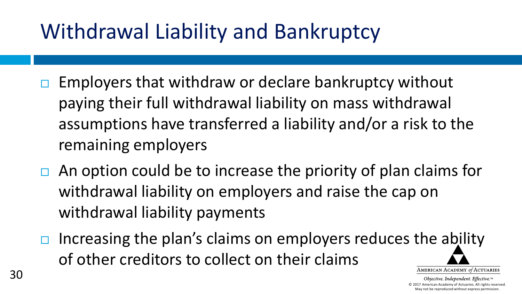## Withdrawal Liability and Bankruptcy

- $\Box$  Employers that withdraw or declare bankruptcy without paying their full withdrawal liability on mass withdrawal assumptions have transferred a liability and/or a risk to the remaining employers
- $\Box$  An option could be to increase the priority of plan claims for withdrawal liability on employers and raise the cap on withdrawal liability payments
- Increasing the plan's claims on employers reduces the ability of other creditors to collect on their claimsAMERICAN ACADEMY of ACTUARIES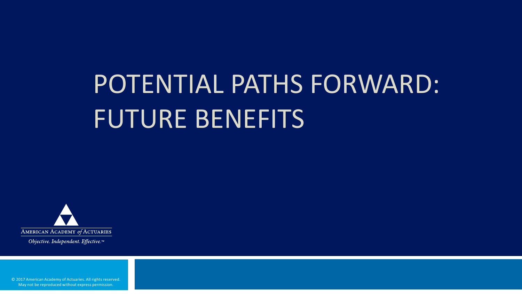## POTENTIAL PATHS FORWARD: FUTURE BENEFITS



Objective. Independent. Effective.™

© 2017 American Academy of Actuaries. All rights reserved. May not be reproduced without express permission.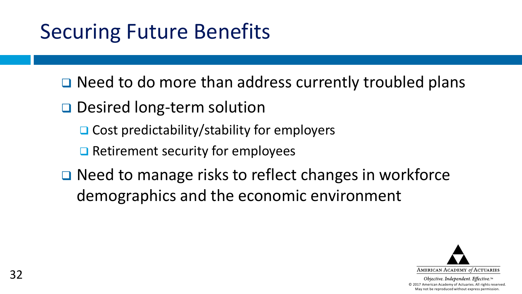## Securing Future Benefits

□ Need to do more than address currently troubled plans

**□** Desired long-term solution

- $\Box$  Cost predictability/stability for employers
- $\Box$  Retirement security for employees
- **□** Need to manage risks to reflect changes in workforce demographics and the economic environment

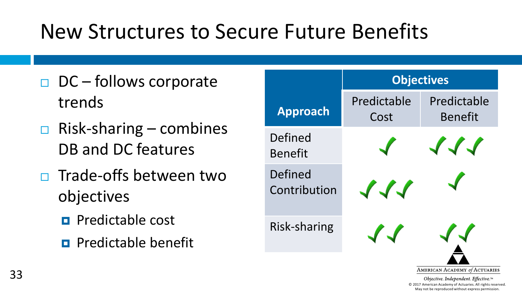## New Structures to Secure Future Benefits

- $\Box$  DC follows corporate trends
- $\Box$  Risk-sharing combines DB and DC features
- Trade-offs between two objectives
	- $\blacksquare$  Predictable cost
	- $\blacksquare$  Predictable benefit

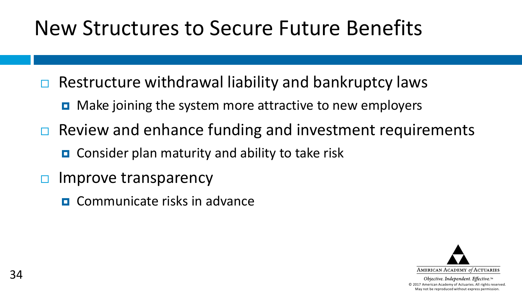## New Structures to Secure Future Benefits

- $\Box$  Restructure withdrawal liability and bankruptcy laws
	- $\blacksquare$  Make joining the system more attractive to new employers
- $\Box$  Review and enhance funding and investment requirements
	- Consider plan maturity and ability to take risk
- $\Box$  Improve transparency
	- **D** Communicate risks in advance

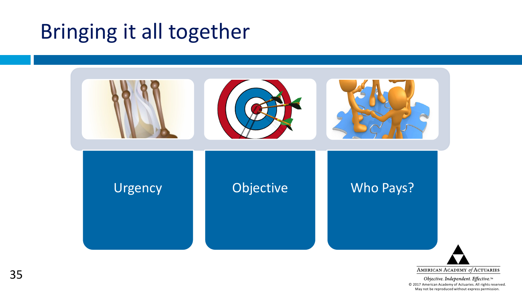## Bringing it all together



AMERICAN ACADEMY of ACTUARIES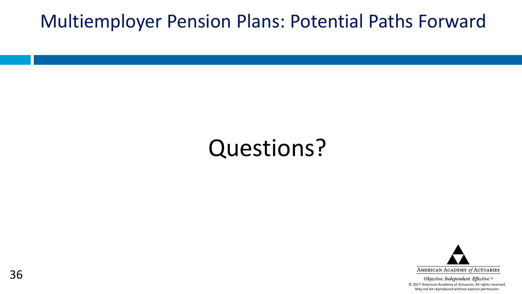#### Multiemployer Pension Plans: Potential Paths Forward

## Questions?